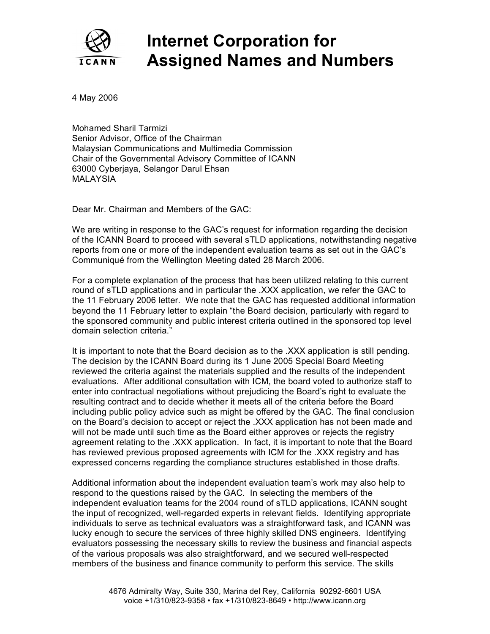

## **Internet Corporation for Assigned Names and Numbers**

4 May 2006

Mohamed Sharil Tarmizi Senior Advisor, Office of the Chairman Malaysian Communications and Multimedia Commission Chair of the Governmental Advisory Committee of ICANN 63000 Cyberjaya, Selangor Darul Ehsan MALAYSIA

Dear Mr. Chairman and Members of the GAC:

We are writing in response to the GAC's request for information regarding the decision of the ICANN Board to proceed with several sTLD applications, notwithstanding negative reports from one or more of the independent evaluation teams as set out in the GAC's Communiqué from the Wellington Meeting dated 28 March 2006.

For a complete explanation of the process that has been utilized relating to this current round of sTLD applications and in particular the .XXX application, we refer the GAC to the 11 February 2006 letter. We note that the GAC has requested additional information beyond the 11 February letter to explain "the Board decision, particularly with regard to the sponsored community and public interest criteria outlined in the sponsored top level domain selection criteria."

It is important to note that the Board decision as to the .XXX application is still pending. The decision by the ICANN Board during its 1 June 2005 Special Board Meeting reviewed the criteria against the materials supplied and the results of the independent evaluations. After additional consultation with ICM, the board voted to authorize staff to enter into contractual negotiations without prejudicing the Board's right to evaluate the resulting contract and to decide whether it meets all of the criteria before the Board including public policy advice such as might be offered by the GAC. The final conclusion on the Board's decision to accept or reject the .XXX application has not been made and will not be made until such time as the Board either approves or rejects the registry agreement relating to the .XXX application. In fact, it is important to note that the Board has reviewed previous proposed agreements with ICM for the .XXX registry and has expressed concerns regarding the compliance structures established in those drafts.

Additional information about the independent evaluation team's work may also help to respond to the questions raised by the GAC. In selecting the members of the independent evaluation teams for the 2004 round of sTLD applications, ICANN sought the input of recognized, well-regarded experts in relevant fields. Identifying appropriate individuals to serve as technical evaluators was a straightforward task, and ICANN was lucky enough to secure the services of three highly skilled DNS engineers. Identifying evaluators possessing the necessary skills to review the business and financial aspects of the various proposals was also straightforward, and we secured well-respected members of the business and finance community to perform this service. The skills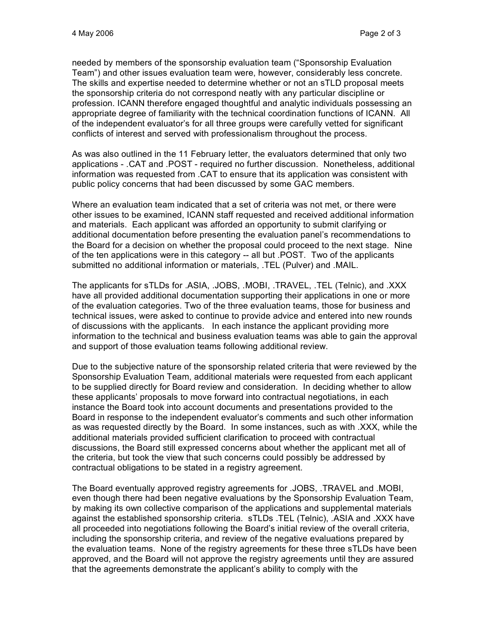needed by members of the sponsorship evaluation team ("Sponsorship Evaluation Team") and other issues evaluation team were, however, considerably less concrete. The skills and expertise needed to determine whether or not an sTLD proposal meets the sponsorship criteria do not correspond neatly with any particular discipline or profession. ICANN therefore engaged thoughtful and analytic individuals possessing an appropriate degree of familiarity with the technical coordination functions of ICANN. All of the independent evaluator's for all three groups were carefully vetted for significant conflicts of interest and served with professionalism throughout the process.

As was also outlined in the 11 February letter, the evaluators determined that only two applications - .CAT and .POST - required no further discussion. Nonetheless, additional information was requested from .CAT to ensure that its application was consistent with public policy concerns that had been discussed by some GAC members.

Where an evaluation team indicated that a set of criteria was not met, or there were other issues to be examined, ICANN staff requested and received additional information and materials. Each applicant was afforded an opportunity to submit clarifying or additional documentation before presenting the evaluation panel's recommendations to the Board for a decision on whether the proposal could proceed to the next stage. Nine of the ten applications were in this category -- all but .POST. Two of the applicants submitted no additional information or materials, .TEL (Pulver) and .MAIL.

The applicants for sTLDs for .ASIA, .JOBS, .MOBI, .TRAVEL, .TEL (Telnic), and .XXX have all provided additional documentation supporting their applications in one or more of the evaluation categories. Two of the three evaluation teams, those for business and technical issues, were asked to continue to provide advice and entered into new rounds of discussions with the applicants. In each instance the applicant providing more information to the technical and business evaluation teams was able to gain the approval and support of those evaluation teams following additional review.

Due to the subjective nature of the sponsorship related criteria that were reviewed by the Sponsorship Evaluation Team, additional materials were requested from each applicant to be supplied directly for Board review and consideration. In deciding whether to allow these applicants' proposals to move forward into contractual negotiations, in each instance the Board took into account documents and presentations provided to the Board in response to the independent evaluator's comments and such other information as was requested directly by the Board. In some instances, such as with .XXX, while the additional materials provided sufficient clarification to proceed with contractual discussions, the Board still expressed concerns about whether the applicant met all of the criteria, but took the view that such concerns could possibly be addressed by contractual obligations to be stated in a registry agreement.

The Board eventually approved registry agreements for .JOBS, .TRAVEL and .MOBI, even though there had been negative evaluations by the Sponsorship Evaluation Team, by making its own collective comparison of the applications and supplemental materials against the established sponsorship criteria. sTLDs .TEL (Telnic), .ASIA and .XXX have all proceeded into negotiations following the Board's initial review of the overall criteria, including the sponsorship criteria, and review of the negative evaluations prepared by the evaluation teams. None of the registry agreements for these three sTLDs have been approved, and the Board will not approve the registry agreements until they are assured that the agreements demonstrate the applicant's ability to comply with the